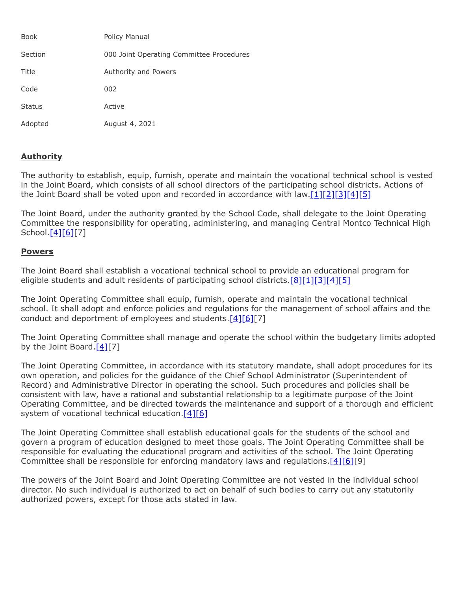| <b>Book</b>   | Policy Manual                            |
|---------------|------------------------------------------|
| Section       | 000 Joint Operating Committee Procedures |
| Title         | Authority and Powers                     |
| Code          | 002                                      |
| <b>Status</b> | Active                                   |
| Adopted       | August 4, 2021                           |

## **Authority**

The authority to establish, equip, furnish, operate and maintain the vocational technical school is vested in the Joint Board, which consists of all school directors of the participating school districts. Actions of the Joint Board shall be voted upon and recorded in accordance with  $\frac{1}{2}$ [\[2\]](http://www.legis.state.pa.us/cfdocs/legis/LI/uconsCheck.cfm?txtType=HTM&yr=1949&sessInd=0&smthLwInd=0&act=14&chpt=18&sctn=40&subsctn=1)[\[3\]](http://www.legis.state.pa.us/cfdocs/legis/LI/uconsCheck.cfm?txtType=HTM&yr=1949&sessInd=0&smthLwInd=0&act=14&chpt=18&sctn=41&subsctn=0)[\[4\]](http://www.legis.state.pa.us/cfdocs/legis/LI/uconsCheck.cfm?txtType=HTM&yr=1949&sessInd=0&smthLwInd=0&act=14&chpt=18&sctn=50&subsctn=1)[\[5\]](http://pacodeandbulletin.gov/Display/pacode?file=/secure/pacode/data/022/chapter4/s4.35.html&d=reduce)

The Joint Board, under the authority granted by the School Code, shall delegate to the Joint Operating Committee the responsibility for operating, administering, and managing Central Montco Technical High School.<u>[\[4\]](http://www.legis.state.pa.us/cfdocs/legis/LI/uconsCheck.cfm?txtType=HTM&yr=1949&sessInd=0&smthLwInd=0&act=14&chpt=18&sctn=50&subsctn=1)[\[6\]](http://www.legis.state.pa.us/cfdocs/legis/LI/uconsCheck.cfm?txtType=HTM&yr=1949&sessInd=0&smthLwInd=0&act=14&chpt=18&sctn=50&subsctn=3)[</u>7]

## **Powers**

The Joint Board shall establish a vocational technical school to provide an educational program for eligible students and adult residents of participating school districts.  $[8][1][3][4][5]$  $[8][1][3][4][5]$  $[8][1][3][4][5]$  $[8][1][3][4][5]$  $[8][1][3][4][5]$ 

The Joint Operating Committee shall equip, furnish, operate and maintain the vocational technical school. It shall adopt and enforce policies and regulations for the management of school affairs and the conduct and deportment of employees and students. $[4][6][7]$  $[4][6][7]$  $[4][6][7]$ 

The Joint Operating Committee shall manage and operate the school within the budgetary limits adopted by the Joint Board. $[4][7]$  $[4][7]$ 

The Joint Operating Committee, in accordance with its statutory mandate, shall adopt procedures for its own operation, and policies for the guidance of the Chief School Administrator (Superintendent of Record) and Administrative Director in operating the school. Such procedures and policies shall be consistent with law, have a rational and substantial relationship to a legitimate purpose of the Joint Operating Committee, and be directed towards the maintenance and support of a thorough and efficient system of vocational technical education. $[4][6]$  $[4][6]$ 

The Joint Operating Committee shall establish educational goals for the students of the school and govern a program of education designed to meet those goals. The Joint Operating Committee shall be responsible for evaluating the educational program and activities of the school. The Joint Operating Committee shall be responsible for enforcing mandatory laws and regulations.[\[4\]](http://www.legis.state.pa.us/cfdocs/legis/LI/uconsCheck.cfm?txtType=HTM&yr=1949&sessInd=0&smthLwInd=0&act=14&chpt=18&sctn=50&subsctn=1)[\[6\]\[](http://www.legis.state.pa.us/cfdocs/legis/LI/uconsCheck.cfm?txtType=HTM&yr=1949&sessInd=0&smthLwInd=0&act=14&chpt=18&sctn=50&subsctn=3)9]

The powers of the Joint Board and Joint Operating Committee are not vested in the individual school director. No such individual is authorized to act on behalf of such bodies to carry out any statutorily authorized powers, except for those acts stated in law.